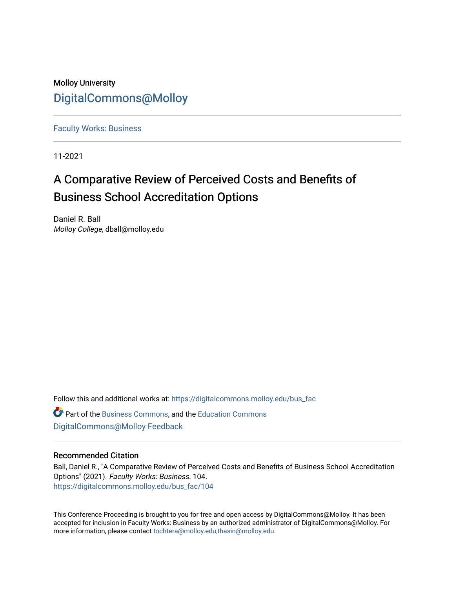Molloy University [DigitalCommons@Molloy](https://digitalcommons.molloy.edu/) 

[Faculty Works: Business](https://digitalcommons.molloy.edu/bus_fac) 

11-2021

# A Comparative Review of Perceived Costs and Benefits of Business School Accreditation Options

Daniel R. Ball Molloy College, dball@molloy.edu

Follow this and additional works at: [https://digitalcommons.molloy.edu/bus\\_fac](https://digitalcommons.molloy.edu/bus_fac?utm_source=digitalcommons.molloy.edu%2Fbus_fac%2F104&utm_medium=PDF&utm_campaign=PDFCoverPages)

Part of the [Business Commons](https://network.bepress.com/hgg/discipline/622?utm_source=digitalcommons.molloy.edu%2Fbus_fac%2F104&utm_medium=PDF&utm_campaign=PDFCoverPages), and the [Education Commons](https://network.bepress.com/hgg/discipline/784?utm_source=digitalcommons.molloy.edu%2Fbus_fac%2F104&utm_medium=PDF&utm_campaign=PDFCoverPages) [DigitalCommons@Molloy Feedback](https://molloy.libwizard.com/f/dcfeedback)

# Recommended Citation

Ball, Daniel R., "A Comparative Review of Perceived Costs and Benefits of Business School Accreditation Options" (2021). Faculty Works: Business. 104. [https://digitalcommons.molloy.edu/bus\\_fac/104](https://digitalcommons.molloy.edu/bus_fac/104?utm_source=digitalcommons.molloy.edu%2Fbus_fac%2F104&utm_medium=PDF&utm_campaign=PDFCoverPages)

This Conference Proceeding is brought to you for free and open access by DigitalCommons@Molloy. It has been accepted for inclusion in Faculty Works: Business by an authorized administrator of DigitalCommons@Molloy. For more information, please contact [tochtera@molloy.edu,thasin@molloy.edu.](mailto:tochtera@molloy.edu,thasin@molloy.edu)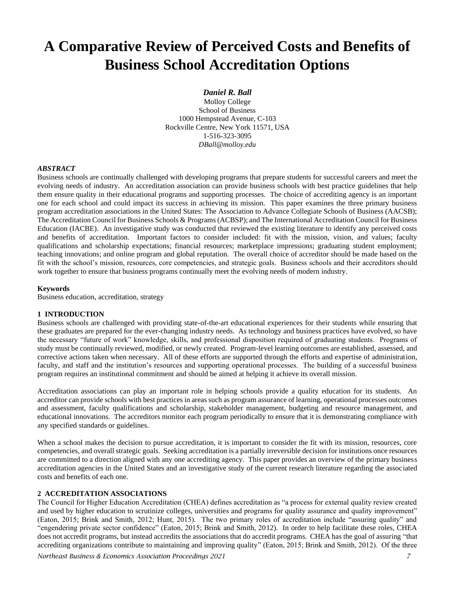# **A Comparative Review of Perceived Costs and Benefits of Business School Accreditation Options**

## *Daniel R. Ball*

Molloy College School of Business 1000 Hempstead Avenue, C-103 Rockville Centre, New York 11571, USA 1-516-323-3095 *DBall@molloy.edu*

#### *ABSTRACT*

Business schools are continually challenged with developing programs that prepare students for successful careers and meet the evolving needs of industry. An accreditation association can provide business schools with best practice guidelines that help them ensure quality in their educational programs and supporting processes. The choice of accrediting agency is an important one for each school and could impact its success in achieving its mission. This paper examines the three primary business program accreditation associations in the United States: The Association to Advance Collegiate Schools of Business (AACSB); The Accreditation Council for Business Schools & Programs (ACBSP); and The International Accreditation Council for Business Education (IACBE). An investigative study was conducted that reviewed the existing literature to identify any perceived costs and benefits of accreditation. Important factors to consider included: fit with the mission, vision, and values; faculty qualifications and scholarship expectations; financial resources; marketplace impressions; graduating student employment; teaching innovations; and online program and global reputation. The overall choice of accreditor should be made based on the fit with the school's mission, resources, core competencies, and strategic goals. Business schools and their accreditors should work together to ensure that business programs continually meet the evolving needs of modern industry.

#### **Keywords**

Business education, accreditation, strategy

#### **1 INTRODUCTION**

Business schools are challenged with providing state-of-the-art educational experiences for their students while ensuring that these graduates are prepared for the ever-changing industry needs. As technology and business practices have evolved, so have the necessary "future of work" knowledge, skills, and professional disposition required of graduating students. Programs of study must be continually reviewed, modified, or newly created. Program-level learning outcomes are established, assessed, and corrective actions taken when necessary. All of these efforts are supported through the efforts and expertise of administration, faculty, and staff and the institution's resources and supporting operational processes. The building of a successful business program requires an institutional commitment and should be aimed at helping it achieve its overall mission.

Accreditation associations can play an important role in helping schools provide a quality education for its students. An accreditor can provide schools with best practices in areas such as program assurance of learning, operational processes outcomes and assessment, faculty qualifications and scholarship, stakeholder management, budgeting and resource management, and educational innovations. The accreditors monitor each program periodically to ensure that it is demonstrating compliance with any specified standards or guidelines.

When a school makes the decision to pursue accreditation, it is important to consider the fit with its mission, resources, core competencies, and overall strategic goals. Seeking accreditation is a partially irreversible decision for institutions once resources are committed to a direction aligned with any one accrediting agency. This paper provides an overview of the primary business accreditation agencies in the United States and an investigative study of the current research literature regarding the associated costs and benefits of each one.

#### **2 ACCREDITATION ASSOCIATIONS**

The Council for Higher Education Accreditation (CHEA) defines accreditation as "a process for external quality review created and used by higher education to scrutinize colleges, universities and programs for quality assurance and quality improvement" (Eaton, 2015; Brink and Smith, 2012; Hunt, 2015). The two primary roles of accreditation include "assuring quality" and "engendering private sector confidence" (Eaton, 2015; Brink and Smith, 2012). In order to help facilitate these roles, CHEA does not accredit programs, but instead accredits the associations that do accredit programs. CHEA has the goal of assuring "that accrediting organizations contribute to maintaining and improving quality" (Eaton, 2015; Brink and Smith, 2012). Of the three

*Northeast Business & Economics Association Proceedings 2021 7*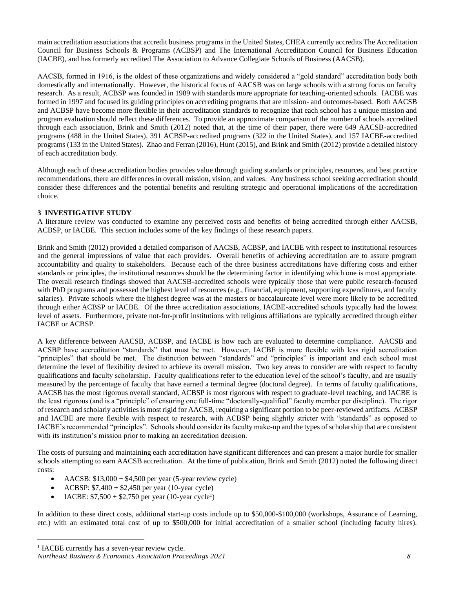main accreditation associations that accredit business programs in the United States, CHEA currently accredits The Accreditation Council for Business Schools & Programs (ACBSP) and The International Accreditation Council for Business Education (IACBE), and has formerly accredited The Association to Advance Collegiate Schools of Business (AACSB).

AACSB, formed in 1916, is the oldest of these organizations and widely considered a "gold standard" accreditation body both domestically and internationally. However, the historical focus of AACSB was on large schools with a strong focus on faculty research. As a result, ACBSP was founded in 1989 with standards more appropriate for teaching-oriented schools. IACBE was formed in 1997 and focused its guiding principles on accrediting programs that are mission- and outcomes-based. Both AACSB and ACBSP have become more flexible in their accreditation standards to recognize that each school has a unique mission and program evaluation should reflect these differences. To provide an approximate comparison of the number of schools accredited through each association, Brink and Smith (2012) noted that, at the time of their paper, there were 649 AACSB-accredited programs (488 in the United States), 391 ACBSP-accredited programs (322 in the United States), and 157 IACBE-accredited programs (133 in the United States). Zhao and Ferran (2016), Hunt (2015), and Brink and Smith (2012) provide a detailed history of each accreditation body.

Although each of these accreditation bodies provides value through guiding standards or principles, resources, and best practice recommendations, there are differences in overall mission, vision, and values. Any business school seeking accreditation should consider these differences and the potential benefits and resulting strategic and operational implications of the accreditation choice.

# **3 INVESTIGATIVE STUDY**

A literature review was conducted to examine any perceived costs and benefits of being accredited through either AACSB, ACBSP, or IACBE. This section includes some of the key findings of these research papers.

Brink and Smith (2012) provided a detailed comparison of AACSB, ACBSP, and IACBE with respect to institutional resources and the general impressions of value that each provides. Overall benefits of achieving accreditation are to assure program accountability and quality to stakeholders. Because each of the three business accreditations have differing costs and either standards or principles, the institutional resources should be the determining factor in identifying which one is most appropriate. The overall research findings showed that AACSB-accredited schools were typically those that were public research-focused with PhD programs and possessed the highest level of resources (e.g., financial, equipment, supporting expenditures, and faculty salaries). Private schools where the highest degree was at the masters or baccalaureate level were more likely to be accredited through either ACBSP or IACBE. Of the three accreditation associations, IACBE-accredited schools typically had the lowest level of assets. Furthermore, private not-for-profit institutions with religious affiliations are typically accredited through either IACBE or ACBSP.

A key difference between AACSB, ACBSP, and IACBE is how each are evaluated to determine compliance. AACSB and ACSBP have accreditation "standards" that must be met. However, IACBE is more flexible with less rigid accreditation "principles" that should be met. The distinction between "standards" and "principles" is important and each school must determine the level of flexibility desired to achieve its overall mission. Two key areas to consider are with respect to faculty qualifications and faculty scholarship. Faculty qualifications refer to the education level of the school's faculty, and are usually measured by the percentage of faculty that have earned a terminal degree (doctoral degree). In terms of faculty qualifications, AACSB has the most rigorous overall standard, ACBSP is most rigorous with respect to graduate-level teaching, and IACBE is the least rigorous (and is a "principle" of ensuring one full-time "doctorally-qualified" faculty member per discipline). The rigor of research and scholarly activities is most rigid for AACSB, requiring a significant portion to be peer-reviewed artifacts. ACBSP and IACBE are more flexible with respect to research, with ACBSP being slightly stricter with "standards" as opposed to IACBE's recommended "principles". Schools should consider its faculty make-up and the types of scholarship that are consistent with its institution's mission prior to making an accreditation decision.

The costs of pursuing and maintaining each accreditation have significant differences and can present a major hurdle for smaller schools attempting to earn AACSB accreditation. At the time of publication, Brink and Smith (2012) noted the following direct costs:

- AACSB:  $$13,000 + $4,500$  per year (5-year review cycle)
- ACBSP:  $$7,400 + $2,450$  per year (10-year cycle)
- IACBE:  $$7,500 + $2,750$  per year (10-year cycle<sup>1</sup>)

In addition to these direct costs, additional start-up costs include up to \$50,000-\$100,000 (workshops, Assurance of Learning, etc.) with an estimated total cost of up to \$500,000 for initial accreditation of a smaller school (including faculty hires).

*Northeast Business & Economics Association Proceedings 2021 8* <sup>1</sup> IACBE currently has a seven-year review cycle.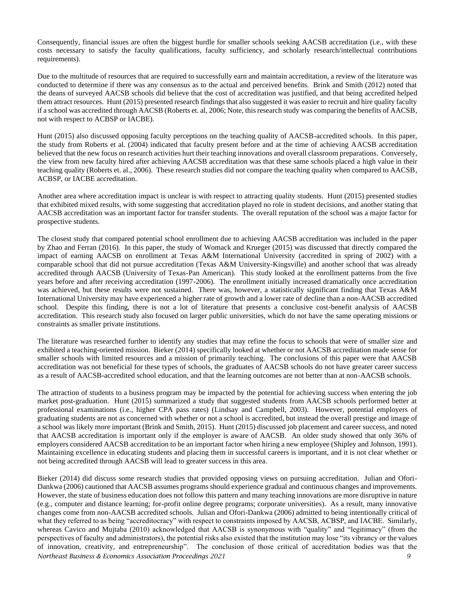Consequently, financial issues are often the biggest hurdle for smaller schools seeking AACSB accreditation (i.e., with these costs necessary to satisfy the faculty qualifications, faculty sufficiency, and scholarly research/intellectual contributions requirements).

Due to the multitude of resources that are required to successfully earn and maintain accreditation, a review of the literature was conducted to determine if there was any consensus as to the actual and perceived benefits. Brink and Smith (2012) noted that the deans of surveyed AACSB schools did believe that the cost of accreditation was justified, and that being accredited helped them attract resources. Hunt (2015) presented research findings that also suggested it was easier to recruit and hire quality faculty if a school was accredited through AACSB (Roberts et. al, 2006; Note, this research study was comparing the benefits of AACSB, not with respect to ACBSP or IACBE).

Hunt (2015) also discussed opposing faculty perceptions on the teaching quality of AACSB-accredited schools. In this paper, the study from Roberts et al. (2004) indicated that faculty present before and at the time of achieving AACSB accreditation believed that the new focus on research activities hurt their teaching innovations and overall classroom preparations. Conversely, the view from new faculty hired after achieving AACSB accreditation was that these same schools placed a high value in their teaching quality (Roberts et. al., 2006). These research studies did not compare the teaching quality when compared to AACSB, ACBSP, or IACBE accreditation.

Another area where accreditation impact is unclear is with respect to attracting quality students. Hunt (2015) presented studies that exhibited mixed results, with some suggesting that accreditation played no role in student decisions, and another stating that AACSB accreditation was an important factor for transfer students. The overall reputation of the school was a major factor for prospective students.

The closest study that compared potential school enrollment due to achieving AACSB accreditation was included in the paper by Zhao and Ferran (2016). In this paper, the study of Womack and Krueger (2015) was discussed that directly compared the impact of earning AACSB on enrollment at Texas A&M International University (accredited in spring of 2002) with a comparable school that did not pursue accreditation (Texas A&M University-Kingsville) and another school that was already accredited through AACSB (University of Texas-Pan American). This study looked at the enrollment patterns from the five years before and after receiving accreditation (1997-2006). The enrollment initially increased dramatically once accreditation was achieved, but these results were not sustained. There was, however, a statistically significant finding that Texas A&M International University may have experienced a higher rate of growth and a lower rate of decline than a non-AACSB accredited school. Despite this finding, there is not a lot of literature that presents a conclusive cost-benefit analysis of AACSB accreditation. This research study also focused on larger public universities, which do not have the same operating missions or constraints as smaller private institutions.

The literature was researched further to identify any studies that may refine the focus to schools that were of smaller size and exhibited a teaching-oriented mission. Bieker (2014) specifically looked at whether or not AACSB accreditation made sense for smaller schools with limited resources and a mission of primarily teaching. The conclusions of this paper were that AACSB accreditation was not beneficial for these types of schools, the graduates of AACSB schools do not have greater career success as a result of AACSB-accredited school education, and that the learning outcomes are not better than at non-AACSB schools.

The attraction of students to a business program may be impacted by the potential for achieving success when entering the job market post-graduation. Hunt (2015) summarized a study that suggested students from AACSB schools performed better at professional examinations (i.e., higher CPA pass rates) (Lindsay and Campbell, 2003). However, potential employers of graduating students are not as concerned with whether or not a school is accredited, but instead the overall prestige and image of a school was likely more important (Brink and Smith, 2015). Hunt (2015) discussed job placement and career success, and noted that AACSB accreditation is important only if the employer is aware of AACSB. An older study showed that only 36% of employers considered AACSB accreditation to be an important factor when hiring a new employee (Shipley and Johnson, 1991). Maintaining excellence in educating students and placing them in successful careers is important, and it is not clear whether or not being accredited through AACSB will lead to greater success in this area.

*Northeast Business & Economics Association Proceedings 2021 9* Bieker (2014) did discuss some research studies that provided opposing views on pursuing accreditation. Julian and Ofori-Dankwa (2006) cautioned that AACSB assumes programs should experience gradual and continuous changes and improvements. However, the state of business education does not follow this pattern and many teaching innovations are more disruptive in nature (e.g., computer and distance learning; for-profit online degree programs; corporate universities). As a result, many innovative changes come from non-AACSB accredited schools. Julian and Ofori-Dankwa (2006) admitted to being intentionally critical of what they referred to as being "accreditocracy" with respect to constraints imposed by AACSB, ACBSP, and IACBE. Similarly, whereas Cavico and Mujtaba (2010) acknowledged that AACSB is synonymous with "quality" and "legitimacy" (from the perspectives of faculty and administrators), the potential risks also existed that the institution may lose "its vibrancy or the values of innovation, creativity, and entrepreneurship". The conclusion of those critical of accreditation bodies was that the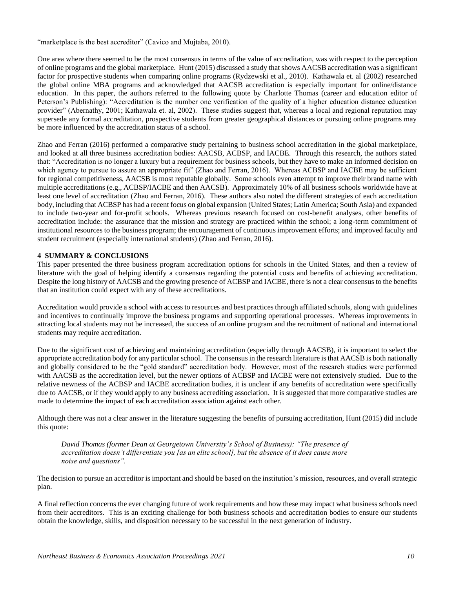"marketplace is the best accreditor" (Cavico and Mujtaba, 2010).

One area where there seemed to be the most consensus in terms of the value of accreditation, was with respect to the perception of online programs and the global marketplace. Hunt (2015) discussed a study that shows AACSB accreditation was a significant factor for prospective students when comparing online programs (Rydzewski et al., 2010). Kathawala et. al (2002) researched the global online MBA programs and acknowledged that AACSB accreditation is especially important for online/distance education. In this paper, the authors referred to the following quote by Charlotte Thomas (career and education editor of Peterson's Publishing): "Accreditation is the number one verification of the quality of a higher education distance education provider" (Abernathy, 2001; Kathawala et. al, 2002). These studies suggest that, whereas a local and regional reputation may supersede any formal accreditation, prospective students from greater geographical distances or pursuing online programs may be more influenced by the accreditation status of a school.

Zhao and Ferran (2016) performed a comparative study pertaining to business school accreditation in the global marketplace, and looked at all three business accreditation bodies: AACSB, ACBSP, and IACBE. Through this research, the authors stated that: "Accreditation is no longer a luxury but a requirement for business schools, but they have to make an informed decision on which agency to pursue to assure an appropriate fit" (Zhao and Ferran, 2016). Whereas ACBSP and IACBE may be sufficient for regional competitiveness, AACSB is most reputable globally. Some schools even attempt to improve their brand name with multiple accreditations (e.g., ACBSP/IACBE and then AACSB). Approximately 10% of all business schools worldwide have at least one level of accreditation (Zhao and Ferran, 2016). These authors also noted the different strategies of each accreditation body, including that ACBSP has had a recent focus on global expansion (United States; Latin America; South Asia) and expanded to include two-year and for-profit schools. Whereas previous research focused on cost-benefit analyses, other benefits of accreditation include: the assurance that the mission and strategy are practiced within the school; a long-term commitment of institutional resources to the business program; the encouragement of continuous improvement efforts; and improved faculty and student recruitment (especially international students) (Zhao and Ferran, 2016).

### **4 SUMMARY & CONCLUSIONS**

This paper presented the three business program accreditation options for schools in the United States, and then a review of literature with the goal of helping identify a consensus regarding the potential costs and benefits of achieving accreditation. Despite the long history of AACSB and the growing presence of ACBSP and IACBE, there is not a clear consensus to the benefits that an institution could expect with any of these accreditations.

Accreditation would provide a school with access to resources and best practices through affiliated schools, along with guidelines and incentives to continually improve the business programs and supporting operational processes. Whereas improvements in attracting local students may not be increased, the success of an online program and the recruitment of national and international students may require accreditation.

Due to the significant cost of achieving and maintaining accreditation (especially through AACSB), it is important to select the appropriate accreditation body for any particular school. The consensus in the research literature is that AACSB is both nationally and globally considered to be the "gold standard" accreditation body. However, most of the research studies were performed with AACSB as the accreditation level, but the newer options of ACBSP and IACBE were not extensively studied. Due to the relative newness of the ACBSP and IACBE accreditation bodies, it is unclear if any benefits of accreditation were specifically due to AACSB, or if they would apply to any business accrediting association. It is suggested that more comparative studies are made to determine the impact of each accreditation association against each other.

Although there was not a clear answer in the literature suggesting the benefits of pursuing accreditation, Hunt (2015) did include this quote:

*David Thomas (former Dean at Georgetown University's School of Business): "The presence of accreditation doesn't differentiate you [as an elite school], but the absence of it does cause more noise and questions".*

The decision to pursue an accreditor is important and should be based on the institution's mission, resources, and overall strategic plan.

A final reflection concerns the ever changing future of work requirements and how these may impact what business schools need from their accreditors. This is an exciting challenge for both business schools and accreditation bodies to ensure our students obtain the knowledge, skills, and disposition necessary to be successful in the next generation of industry.